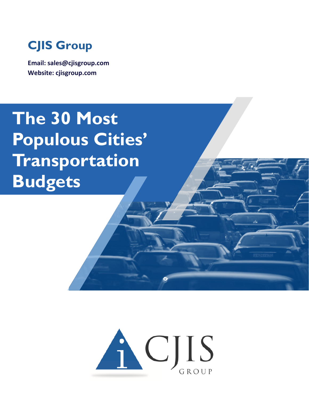

**Email: sales@cjisgroup.com Website: cjisgroup.com**

## **The 30 Most Populous Cities' Transportation Budgets**

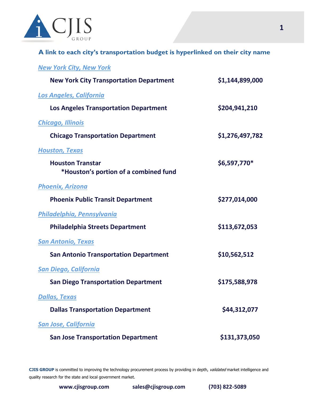

**A link to each city's transportation budget is hyperlinked on their city name**

*[New York City, New York](https://council.nyc.gov/budget/fy2022/)*

| <b>New York City Transportation Department</b> | \$1,144,899,000 |
|------------------------------------------------|-----------------|
| <b>Los Angeles, California</b>                 |                 |
| <b>Los Angeles Transportation Department</b>   | \$204,941,210   |
| <b>Chicago, Illinois</b>                       |                 |
| <b>Chicago Transportation Department</b>       | \$1,276,497,782 |
| <b>Houston, Texas</b>                          |                 |
| <b>Houston Transtar</b>                        | \$6,597,770*    |
| *Houston's portion of a combined fund          |                 |
| <b>Phoenix, Arizona</b>                        |                 |
| <b>Phoenix Public Transit Department</b>       | \$277,014,000   |
| Philadelphia, Pennsylvania                     |                 |
| <b>Philadelphia Streets Department</b>         | \$113,672,053   |
| <b>San Antonio, Texas</b>                      |                 |
| <b>San Antonio Transportation Department</b>   | \$10,562,512    |
| <b>San Diego, California</b>                   |                 |
| <b>San Diego Transportation Department</b>     | \$175,588,978   |
| <b>Dallas, Texas</b>                           |                 |
| <b>Dallas Transportation Department</b>        | \$44,312,077    |
| <b>San Jose, California</b>                    |                 |
| <b>San Jose Transportation Department</b>      | \$131,373,050   |

**CJIS GROUP** is committed to improving the technology procurement process by providing in depth, validated market intelligence and quality research for the state and local government market.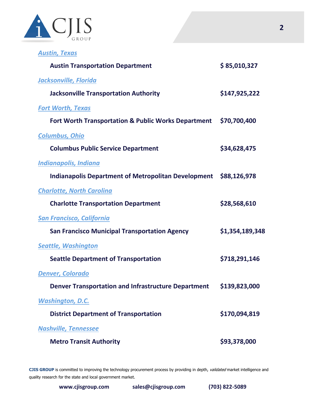

*[Austin, Texas](https://www.speakupaustin.org/budget-2022)*

| <b>Austin Transportation Department</b>                           | \$85,010,327    |
|-------------------------------------------------------------------|-----------------|
| <b>Jacksonville, Florida</b>                                      |                 |
| <b>Jacksonville Transportation Authority</b>                      | \$147,925,222   |
| <b>Fort Worth, Texas</b>                                          |                 |
| Fort Worth Transportation & Public Works Department               | \$70,700,400    |
| <b>Columbus, Ohio</b>                                             |                 |
| <b>Columbus Public Service Department</b>                         | \$34,628,475    |
| <b>Indianapolis, Indiana</b>                                      |                 |
| Indianapolis Department of Metropolitan Development \$88,126,978  |                 |
| <b>Charlotte, North Carolina</b>                                  |                 |
| <b>Charlotte Transportation Department</b>                        | \$28,568,610    |
| <b>San Francisco, California</b>                                  |                 |
| <b>San Francisco Municipal Transportation Agency</b>              | \$1,354,189,348 |
| <b>Seattle, Washington</b>                                        |                 |
| <b>Seattle Department of Transportation</b>                       | \$718,291,146   |
| <b>Denver, Colorado</b>                                           |                 |
| Denver Transportation and Infrastructure Department \$139,823,000 |                 |
| <b>Washington, D.C.</b>                                           |                 |
| <b>District Department of Transportation</b>                      | \$170,094,819   |
| <b>Nashville, Tennessee</b>                                       |                 |
| <b>Metro Transit Authority</b>                                    | \$93,378,000    |

CJIS GROUP is committed to improving the technology procurement process by providing in depth, validated market intelligence and quality research for the state and local government market.